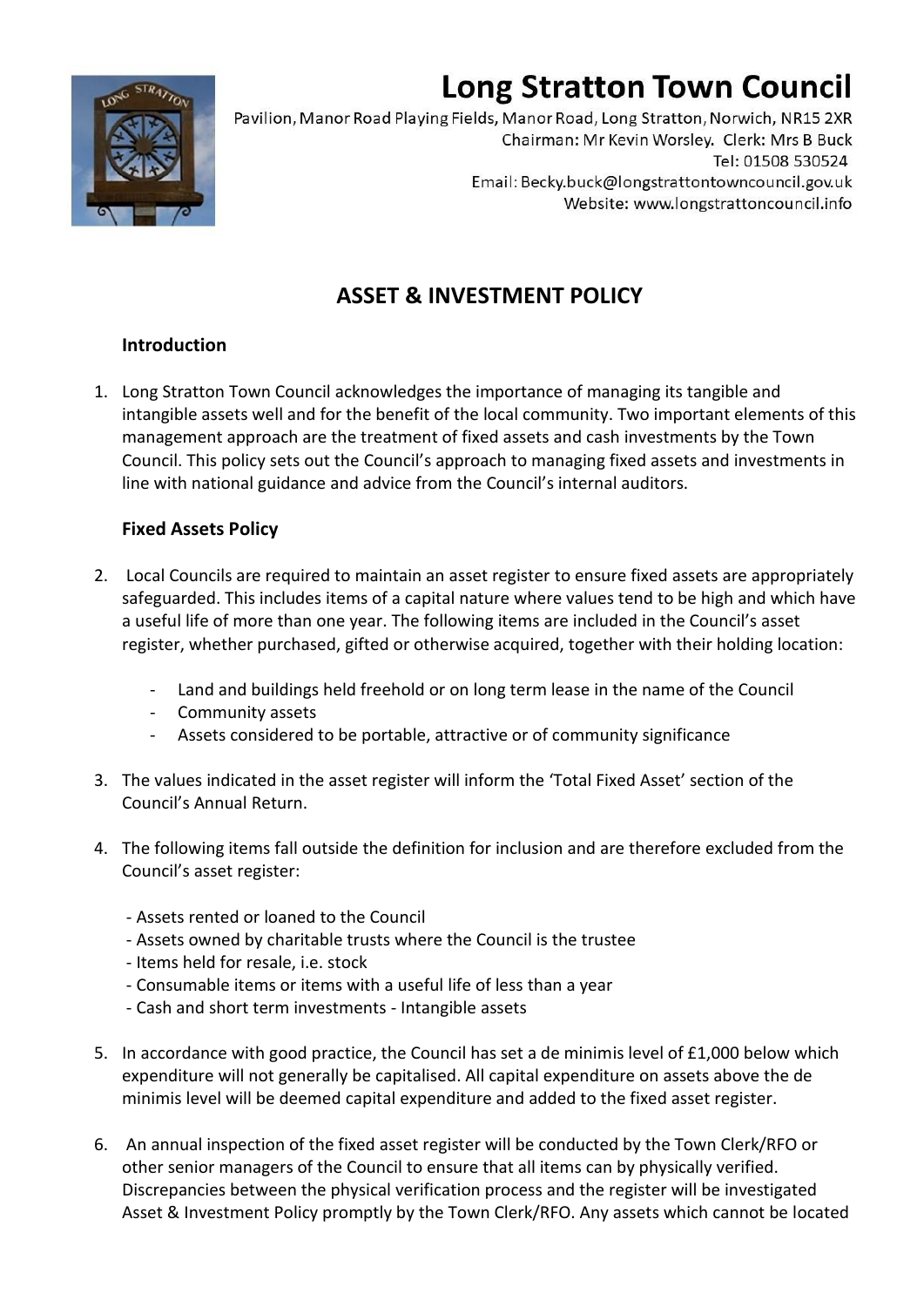# **Long Stratton Town Council**



Pavilion, Manor Road Playing Fields, Manor Road, Long Stratton, Norwich, NR15 2XR Chairman: Mr Kevin Worsley. Clerk: Mrs B Buck Tel: 01508 530524 Email: Becky.buck@longstrattontowncouncil.gov.uk Website: www.longstrattoncouncil.info

# **ASSET & INVESTMENT POLICY**

# **Introduction**

1. Long Stratton Town Council acknowledges the importance of managing its tangible and intangible assets well and for the benefit of the local community. Two important elements of this management approach are the treatment of fixed assets and cash investments by the Town Council. This policy sets out the Council's approach to managing fixed assets and investments in line with national guidance and advice from the Council's internal auditors.

# **Fixed Assets Policy**

- 2. Local Councils are required to maintain an asset register to ensure fixed assets are appropriately safeguarded. This includes items of a capital nature where values tend to be high and which have a useful life of more than one year. The following items are included in the Council's asset register, whether purchased, gifted or otherwise acquired, together with their holding location:
	- Land and buildings held freehold or on long term lease in the name of the Council
	- Community assets
	- Assets considered to be portable, attractive or of community significance
- 3. The values indicated in the asset register will inform the 'Total Fixed Asset' section of the Council's Annual Return.
- 4. The following items fall outside the definition for inclusion and are therefore excluded from the Council's asset register:
	- Assets rented or loaned to the Council
	- Assets owned by charitable trusts where the Council is the trustee
	- Items held for resale, i.e. stock
	- Consumable items or items with a useful life of less than a year
	- Cash and short term investments Intangible assets
- 5. In accordance with good practice, the Council has set a de minimis level of £1,000 below which expenditure will not generally be capitalised. All capital expenditure on assets above the de minimis level will be deemed capital expenditure and added to the fixed asset register.
- 6. An annual inspection of the fixed asset register will be conducted by the Town Clerk/RFO or other senior managers of the Council to ensure that all items can by physically verified. Discrepancies between the physical verification process and the register will be investigated Asset & Investment Policy promptly by the Town Clerk/RFO. Any assets which cannot be located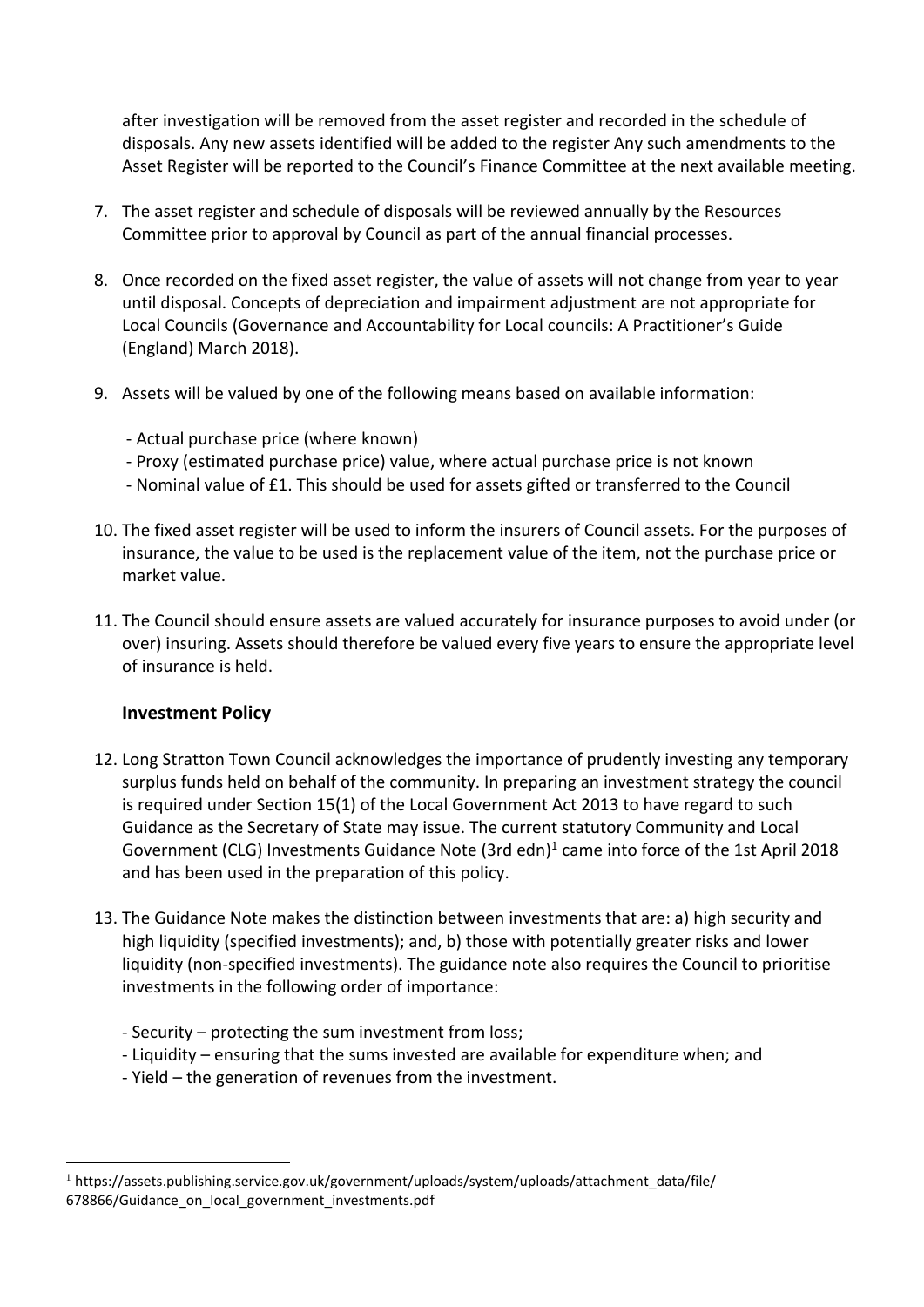after investigation will be removed from the asset register and recorded in the schedule of disposals. Any new assets identified will be added to the register Any such amendments to the Asset Register will be reported to the Council's Finance Committee at the next available meeting.

- 7. The asset register and schedule of disposals will be reviewed annually by the Resources Committee prior to approval by Council as part of the annual financial processes.
- 8. Once recorded on the fixed asset register, the value of assets will not change from year to year until disposal. Concepts of depreciation and impairment adjustment are not appropriate for Local Councils (Governance and Accountability for Local councils: A Practitioner's Guide (England) March 2018).
- 9. Assets will be valued by one of the following means based on available information:
	- Actual purchase price (where known)
	- Proxy (estimated purchase price) value, where actual purchase price is not known
	- Nominal value of £1. This should be used for assets gifted or transferred to the Council
- 10. The fixed asset register will be used to inform the insurers of Council assets. For the purposes of insurance, the value to be used is the replacement value of the item, not the purchase price or market value.
- 11. The Council should ensure assets are valued accurately for insurance purposes to avoid under (or over) insuring. Assets should therefore be valued every five years to ensure the appropriate level of insurance is held.

# **Investment Policy**

- 12. Long Stratton Town Council acknowledges the importance of prudently investing any temporary surplus funds held on behalf of the community. In preparing an investment strategy the council is required under Section 15(1) of the Local Government Act 2013 to have regard to such Guidance as the Secretary of State may issue. The current statutory Community and Local Government (CLG) Investments Guidance Note (3rd edn)<sup>1</sup> came into force of the 1st April 2018 and has been used in the preparation of this policy.
- 13. The Guidance Note makes the distinction between investments that are: a) high security and high liquidity (specified investments); and, b) those with potentially greater risks and lower liquidity (non-specified investments). The guidance note also requires the Council to prioritise investments in the following order of importance:
	- Security protecting the sum investment from loss;
	- Liquidity ensuring that the sums invested are available for expenditure when; and
	- Yield the generation of revenues from the investment.

 $1$  https://assets.publishing.service.gov.uk/government/uploads/system/uploads/attachment\_data/file/ 678866/Guidance\_on\_local\_government\_investments.pdf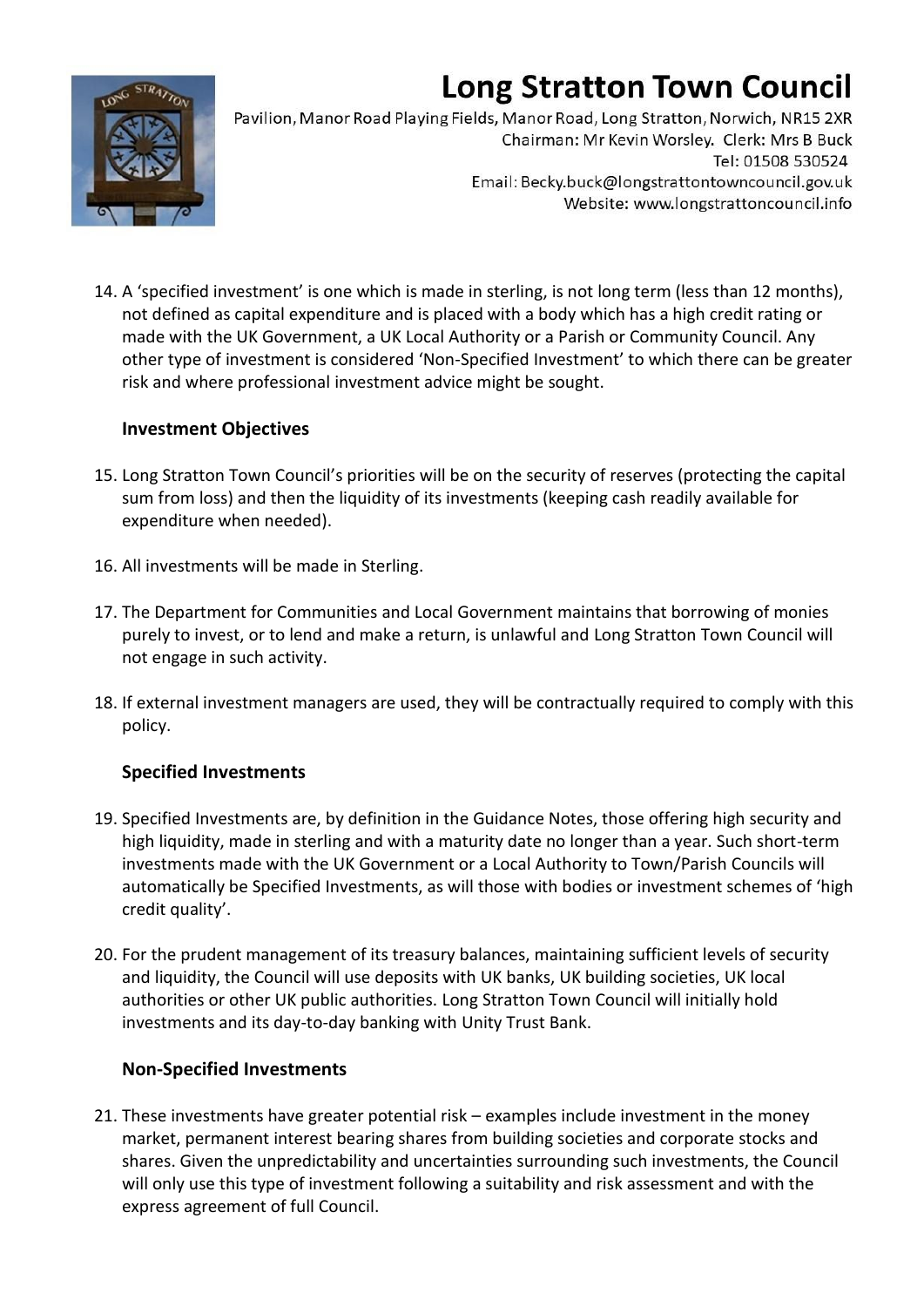# **Long Stratton Town Council**



Pavilion, Manor Road Playing Fields, Manor Road, Long Stratton, Norwich, NR15 2XR Chairman: Mr Kevin Worsley. Clerk: Mrs B Buck Tel: 01508 530524 Email: Becky.buck@longstrattontowncouncil.gov.uk Website: www.longstrattoncouncil.info

14. A 'specified investment' is one which is made in sterling, is not long term (less than 12 months), not defined as capital expenditure and is placed with a body which has a high credit rating or made with the UK Government, a UK Local Authority or a Parish or Community Council. Any other type of investment is considered 'Non-Specified Investment' to which there can be greater risk and where professional investment advice might be sought.

# **Investment Objectives**

- 15. Long Stratton Town Council's priorities will be on the security of reserves (protecting the capital sum from loss) and then the liquidity of its investments (keeping cash readily available for expenditure when needed).
- 16. All investments will be made in Sterling.
- 17. The Department for Communities and Local Government maintains that borrowing of monies purely to invest, or to lend and make a return, is unlawful and Long Stratton Town Council will not engage in such activity.
- 18. If external investment managers are used, they will be contractually required to comply with this policy.

# **Specified Investments**

- 19. Specified Investments are, by definition in the Guidance Notes, those offering high security and high liquidity, made in sterling and with a maturity date no longer than a year. Such short-term investments made with the UK Government or a Local Authority to Town/Parish Councils will automatically be Specified Investments, as will those with bodies or investment schemes of 'high credit quality'.
- 20. For the prudent management of its treasury balances, maintaining sufficient levels of security and liquidity, the Council will use deposits with UK banks, UK building societies, UK local authorities or other UK public authorities. Long Stratton Town Council will initially hold investments and its day-to-day banking with Unity Trust Bank.

# **Non-Specified Investments**

21. These investments have greater potential risk – examples include investment in the money market, permanent interest bearing shares from building societies and corporate stocks and shares. Given the unpredictability and uncertainties surrounding such investments, the Council will only use this type of investment following a suitability and risk assessment and with the express agreement of full Council.